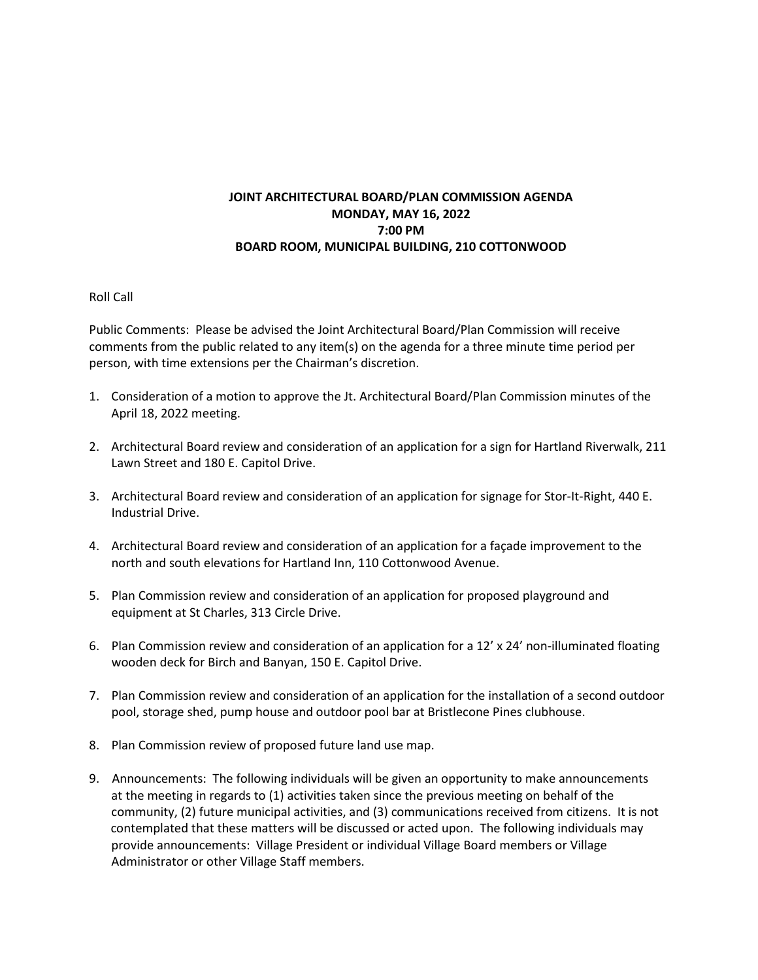## **JOINT ARCHITECTURAL BOARD/PLAN COMMISSION AGENDA MONDAY, MAY 16, 2022 7:00 PM BOARD ROOM, MUNICIPAL BUILDING, 210 COTTONWOOD**

## Roll Call

Public Comments: Please be advised the Joint Architectural Board/Plan Commission will receive comments from the public related to any item(s) on the agenda for a three minute time period per person, with time extensions per the Chairman's discretion.

- 1. Consideration of a motion to approve the Jt. Architectural Board/Plan Commission minutes of the April 18, 2022 meeting.
- 2. Architectural Board review and consideration of an application for a sign for Hartland Riverwalk, 211 Lawn Street and 180 E. Capitol Drive.
- 3. Architectural Board review and consideration of an application for signage for Stor-It-Right, 440 E. Industrial Drive.
- 4. Architectural Board review and consideration of an application for a façade improvement to the north and south elevations for Hartland Inn, 110 Cottonwood Avenue.
- 5. Plan Commission review and consideration of an application for proposed playground and equipment at St Charles, 313 Circle Drive.
- 6. Plan Commission review and consideration of an application for a 12' x 24' non-illuminated floating wooden deck for Birch and Banyan, 150 E. Capitol Drive.
- 7. Plan Commission review and consideration of an application for the installation of a second outdoor pool, storage shed, pump house and outdoor pool bar at Bristlecone Pines clubhouse.
- 8. Plan Commission review of proposed future land use map.
- 9. Announcements: The following individuals will be given an opportunity to make announcements at the meeting in regards to (1) activities taken since the previous meeting on behalf of the community, (2) future municipal activities, and (3) communications received from citizens. It is not contemplated that these matters will be discussed or acted upon. The following individuals may provide announcements: Village President or individual Village Board members or Village Administrator or other Village Staff members.